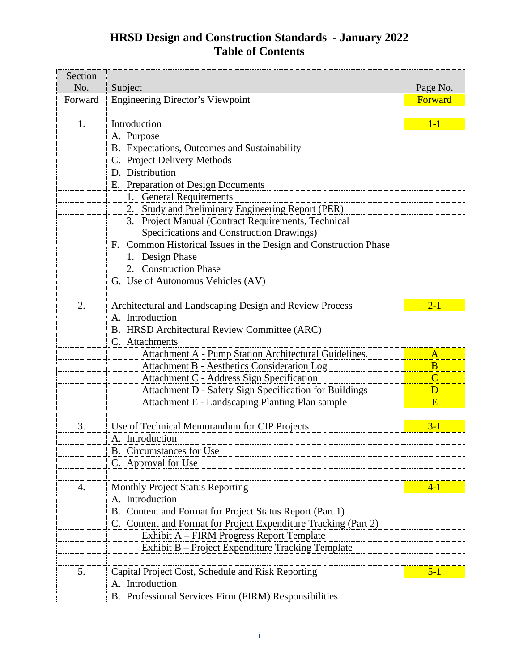## **HRSD Design and Construction Standards - January 2022 Table of Contents**

| Section<br>No. | Subject                                                          | Page No.       |
|----------------|------------------------------------------------------------------|----------------|
| Forward        | <b>Engineering Director's Viewpoint</b>                          | Forward        |
|                |                                                                  |                |
| 1.             | Introduction                                                     | $1-1$          |
|                | A. Purpose                                                       |                |
|                | B. Expectations, Outcomes and Sustainability                     |                |
|                | C. Project Delivery Methods                                      |                |
|                | D. Distribution                                                  |                |
|                | E. Preparation of Design Documents                               |                |
|                | <b>General Requirements</b><br>1.                                |                |
|                | 2. Study and Preliminary Engineering Report (PER)                |                |
|                | 3. Project Manual (Contract Requirements, Technical              |                |
|                | Specifications and Construction Drawings)                        |                |
|                | F. Common Historical Issues in the Design and Construction Phase |                |
|                | 1. Design Phase                                                  |                |
|                | 2. Construction Phase                                            |                |
|                | G. Use of Autonomus Vehicles (AV)                                |                |
|                |                                                                  |                |
| 2.             | Architectural and Landscaping Design and Review Process          | $2 - 1$        |
|                | A. Introduction                                                  |                |
|                | B. HRSD Architectural Review Committee (ARC)                     |                |
|                | C. Attachments                                                   |                |
|                | Attachment A - Pump Station Architectural Guidelines.            | $\mathbf{A}$   |
|                | <b>Attachment B - Aesthetics Consideration Log</b>               | $\bf{B}$       |
|                | Attachment C - Address Sign Specification                        | $\overline{C}$ |
|                | Attachment D - Safety Sign Specification for Buildings           | D              |
|                | Attachment E - Landscaping Planting Plan sample                  | E              |
|                |                                                                  |                |
| 3.             | Use of Technical Memorandum for CIP Projects                     | $3 - 1$        |
|                | A. Introduction                                                  |                |
|                | <b>B.</b> Circumstances for Use                                  |                |
|                | C. Approval for Use                                              |                |
|                |                                                                  |                |
| 4.             | <b>Monthly Project Status Reporting</b>                          | $4 - 1$        |
|                | A. Introduction                                                  |                |
|                | B. Content and Format for Project Status Report (Part 1)         |                |
|                | C. Content and Format for Project Expenditure Tracking (Part 2)  |                |
|                | Exhibit A – FIRM Progress Report Template                        |                |
|                | Exhibit B – Project Expenditure Tracking Template                |                |
|                |                                                                  |                |
| 5.             | Capital Project Cost, Schedule and Risk Reporting                | $5 - 1$        |
|                | A. Introduction                                                  |                |
|                | B. Professional Services Firm (FIRM) Responsibilities            |                |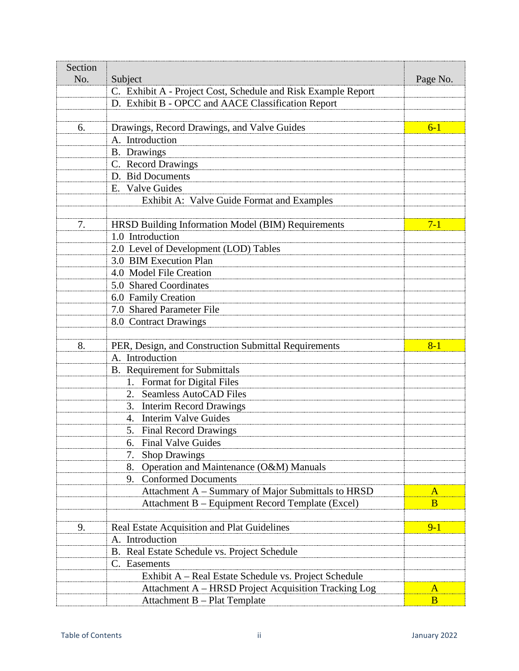| Section<br>No. | Subject                                                       | Page No. |
|----------------|---------------------------------------------------------------|----------|
|                | C. Exhibit A - Project Cost, Schedule and Risk Example Report |          |
|                | D. Exhibit B - OPCC and AACE Classification Report            |          |
|                |                                                               |          |
| 6.             | Drawings, Record Drawings, and Valve Guides                   | $6 - 1$  |
|                | A. Introduction                                               |          |
|                | <b>B.</b> Drawings                                            |          |
|                | C. Record Drawings                                            |          |
|                | D. Bid Documents                                              |          |
|                | E. Valve Guides                                               |          |
|                | Exhibit A: Valve Guide Format and Examples                    |          |
|                |                                                               |          |
| 7.             | HRSD Building Information Model (BIM) Requirements            | $7 - 1$  |
|                | 1.0 Introduction                                              |          |
|                | 2.0 Level of Development (LOD) Tables                         |          |
|                | 3.0 BIM Execution Plan                                        |          |
|                | 4.0 Model File Creation                                       |          |
|                | 5.0 Shared Coordinates                                        |          |
|                | 6.0 Family Creation                                           |          |
|                | 7.0 Shared Parameter File                                     |          |
|                | 8.0 Contract Drawings                                         |          |
|                |                                                               |          |
| 8.             | PER, Design, and Construction Submittal Requirements          | $8 - 1$  |
|                | A. Introduction                                               |          |
|                | <b>B.</b> Requirement for Submittals                          |          |
|                | 1. Format for Digital Files                                   |          |
|                | <b>Seamless AutoCAD Files</b><br>2.                           |          |
|                | 3. Interim Record Drawings                                    |          |
|                | 4. Interim Valve Guides                                       |          |
|                | 5. Final Record Drawings                                      |          |
|                | <b>Final Valve Guides</b><br>6.                               |          |
|                | <b>Shop Drawings</b><br>7.                                    |          |
|                | Operation and Maintenance (O&M) Manuals<br>8.                 |          |
|                | <b>Conformed Documents</b><br>9.                              |          |
|                | Attachment A - Summary of Major Submittals to HRSD            | $\bf{A}$ |
|                | Attachment B – Equipment Record Template (Excel)              | B        |
|                |                                                               |          |
| 9.             | Real Estate Acquisition and Plat Guidelines                   | $9 - 1$  |
|                | A. Introduction                                               |          |
|                | B. Real Estate Schedule vs. Project Schedule                  |          |
|                | C. Easements                                                  |          |
|                | Exhibit A – Real Estate Schedule vs. Project Schedule         |          |
|                | Attachment A – HRSD Project Acquisition Tracking Log          | $\bf{A}$ |
|                | Attachment B - Plat Template                                  | B        |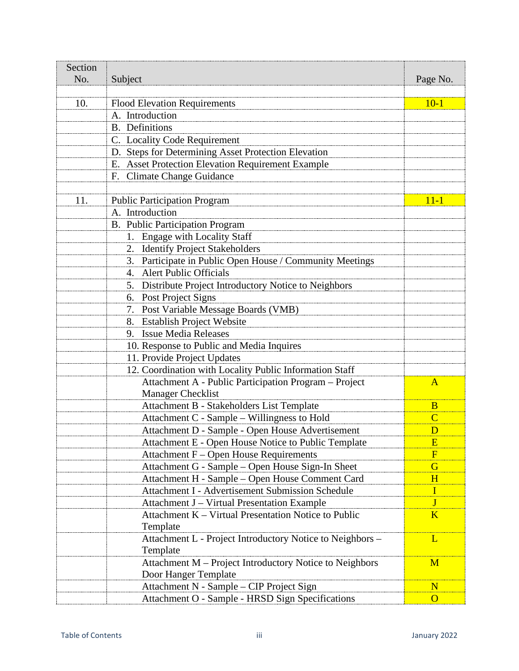| Section |                                                           |                |
|---------|-----------------------------------------------------------|----------------|
| No.     | Subject                                                   | Page No.       |
| 10.     | <b>Flood Elevation Requirements</b>                       | $10 - 1$       |
|         | A. Introduction                                           |                |
|         | <b>B.</b> Definitions                                     |                |
|         | C. Locality Code Requirement                              |                |
|         | D. Steps for Determining Asset Protection Elevation       |                |
|         | E. Asset Protection Elevation Requirement Example         |                |
|         | F. Climate Change Guidance                                |                |
|         |                                                           |                |
| 11.     | <b>Public Participation Program</b>                       | $11 - 1$       |
|         | A. Introduction                                           |                |
|         | B. Public Participation Program                           |                |
|         | 1. Engage with Locality Staff                             |                |
|         | 2. Identify Project Stakeholders                          |                |
|         | 3. Participate in Public Open House / Community Meetings  |                |
|         | 4. Alert Public Officials                                 |                |
|         | 5. Distribute Project Introductory Notice to Neighbors    |                |
|         | 6. Post Project Signs                                     |                |
|         | 7. Post Variable Message Boards (VMB)                     |                |
|         | 8. Establish Project Website                              |                |
|         | 9. Issue Media Releases                                   |                |
|         | 10. Response to Public and Media Inquires                 |                |
|         | 11. Provide Project Updates                               |                |
|         | 12. Coordination with Locality Public Information Staff   |                |
|         | Attachment A - Public Participation Program - Project     | A              |
|         | <b>Manager Checklist</b>                                  |                |
|         | Attachment B - Stakeholders List Template                 | B              |
|         | Attachment C - Sample - Willingness to Hold               | $\overline{C}$ |
|         | Attachment D - Sample - Open House Advertisement          | D              |
|         | Attachment E - Open House Notice to Public Template       | $\mathbf{E}$   |
|         | Attachment F – Open House Requirements                    | $\mathbf{F}$   |
|         | Attachment G - Sample – Open House Sign-In Sheet          | $\overline{G}$ |
|         | Attachment H - Sample - Open House Comment Card           | H              |
|         | Attachment I - Advertisement Submission Schedule          | I              |
|         | Attachment J - Virtual Presentation Example               | J              |
|         | Attachment K – Virtual Presentation Notice to Public      | K              |
|         | Template                                                  |                |
|         | Attachment L - Project Introductory Notice to Neighbors - | L              |
|         | Template                                                  |                |
|         | Attachment M – Project Introductory Notice to Neighbors   | M              |
|         | Door Hanger Template                                      |                |
|         | Attachment N - Sample – CIP Project Sign                  | $\mathbf N$    |
|         | Attachment O - Sample - HRSD Sign Specifications          | $\Omega$       |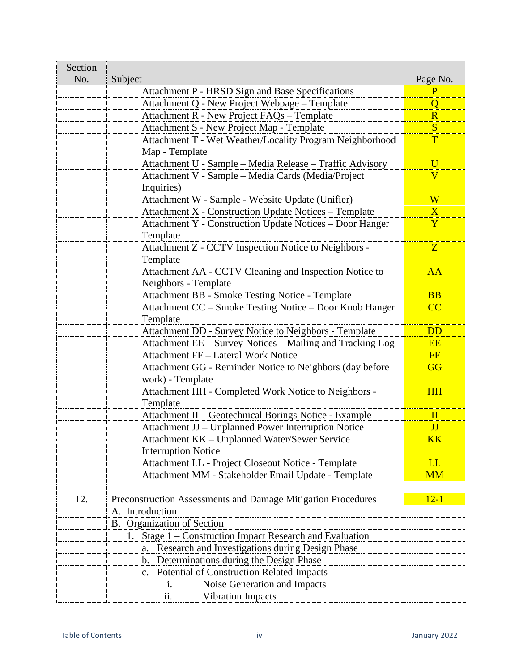| Section<br>No. | Subject                                                                                          | Page No.                |
|----------------|--------------------------------------------------------------------------------------------------|-------------------------|
|                | Attachment P - HRSD Sign and Base Specifications                                                 | $\overline{P}$          |
|                | Attachment Q - New Project Webpage – Template                                                    | $\overline{O}$          |
|                | Attachment R - New Project FAQs - Template                                                       | R                       |
|                | Attachment S - New Project Map - Template                                                        | <sub>S</sub>            |
|                | Attachment T - Wet Weather/Locality Program Neighborhood                                         | T                       |
|                | Map - Template                                                                                   |                         |
|                | Attachment U - Sample - Media Release - Traffic Advisory                                         | $\overline{U}$          |
|                | Attachment V - Sample - Media Cards (Media/Project                                               | $\overline{\mathbf{V}}$ |
|                | Inquiries)                                                                                       |                         |
|                | Attachment W - Sample - Website Update (Unifier)                                                 | W                       |
|                | Attachment X - Construction Update Notices - Template                                            | $\overline{X}$          |
|                | Attachment Y - Construction Update Notices - Door Hanger                                         | Y                       |
|                | Template                                                                                         |                         |
|                | Attachment Z - CCTV Inspection Notice to Neighbors -                                             | $\mathbf{Z}$            |
|                | Template                                                                                         |                         |
|                | Attachment AA - CCTV Cleaning and Inspection Notice to                                           | AA                      |
|                | Neighbors - Template                                                                             |                         |
|                | Attachment BB - Smoke Testing Notice - Template                                                  | <b>BB</b>               |
|                | Attachment CC - Smoke Testing Notice - Door Knob Hanger                                          | CC                      |
|                | Template                                                                                         |                         |
|                | Attachment DD - Survey Notice to Neighbors - Template                                            | <b>DD</b><br><b>EE</b>  |
|                | Attachment EE - Survey Notices - Mailing and Tracking Log<br>Attachment FF - Lateral Work Notice |                         |
|                | Attachment GG - Reminder Notice to Neighbors (day before                                         | <b>FF</b><br>GG         |
|                | work) - Template                                                                                 |                         |
|                | Attachment HH - Completed Work Notice to Neighbors -                                             | <b>HH</b>               |
|                | Template<br>Attachment II - Geotechnical Borings Notice - Example                                | $\mathbf{I}$            |
|                | Attachment JJ - Unplanned Power Interruption Notice                                              | JJ                      |
|                | Attachment KK - Unplanned Water/Sewer Service                                                    | $\overline{\text{KK}}$  |
|                | <b>Interruption Notice</b>                                                                       |                         |
|                | Attachment LL - Project Closeout Notice - Template                                               | LL                      |
|                | Attachment MM - Stakeholder Email Update - Template                                              | <b>MM</b>               |
|                |                                                                                                  |                         |
| 12.            | Preconstruction Assessments and Damage Mitigation Procedures                                     | $12 - 1$                |
|                | A. Introduction                                                                                  |                         |
|                | B. Organization of Section                                                                       |                         |
|                | 1. Stage 1 – Construction Impact Research and Evaluation                                         |                         |
|                | Research and Investigations during Design Phase                                                  |                         |
|                | Determinations during the Design Phase<br>b.                                                     |                         |
|                | Potential of Construction Related Impacts<br>c.                                                  |                         |
|                | Noise Generation and Impacts<br>1.                                                               |                         |
|                | <b>Vibration Impacts</b><br>11.                                                                  |                         |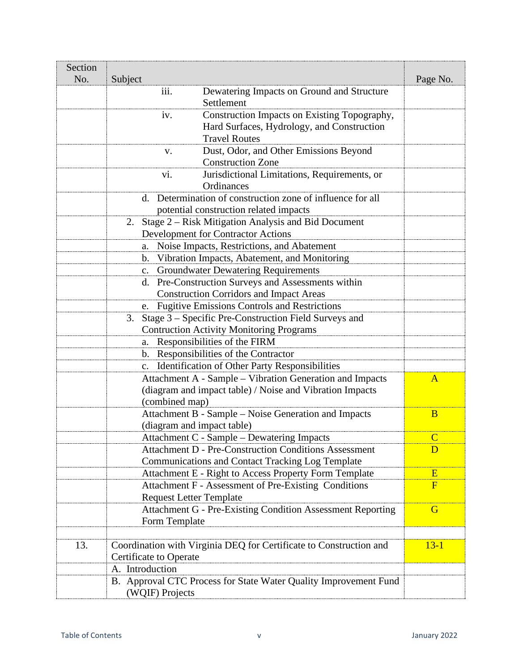| Section<br>No. | Subject                                                            | Page No.                |
|----------------|--------------------------------------------------------------------|-------------------------|
|                | iii.<br>Dewatering Impacts on Ground and Structure<br>Settlement   |                         |
|                | Construction Impacts on Existing Topography,<br>iv.                |                         |
|                | Hard Surfaces, Hydrology, and Construction<br><b>Travel Routes</b> |                         |
|                | Dust, Odor, and Other Emissions Beyond<br>V.                       |                         |
|                | <b>Construction Zone</b>                                           |                         |
|                | Jurisdictional Limitations, Requirements, or<br>V1.<br>Ordinances  |                         |
|                | Determination of construction zone of influence for all<br>d.      |                         |
|                | potential construction related impacts                             |                         |
|                | Stage 2 – Risk Mitigation Analysis and Bid Document<br>2.          |                         |
|                | <b>Development for Contractor Actions</b>                          |                         |
|                | Noise Impacts, Restrictions, and Abatement<br>a.                   |                         |
|                | Vibration Impacts, Abatement, and Monitoring<br>b.                 |                         |
|                | <b>Groundwater Dewatering Requirements</b><br>$C_{\bullet}$        |                         |
|                | d. Pre-Construction Surveys and Assessments within                 |                         |
|                | <b>Construction Corridors and Impact Areas</b>                     |                         |
|                | <b>Fugitive Emissions Controls and Restrictions</b><br>e.          |                         |
|                | Stage 3 – Specific Pre-Construction Field Surveys and<br>3.        |                         |
|                | <b>Contruction Activity Monitoring Programs</b>                    |                         |
|                | Responsibilities of the FIRM<br>a.                                 |                         |
|                | b. Responsibilities of the Contractor                              |                         |
|                | Identification of Other Party Responsibilities<br>$C_{\bullet}$    |                         |
|                | Attachment A - Sample – Vibration Generation and Impacts           | $\mathbf{A}$            |
|                | (diagram and impact table) / Noise and Vibration Impacts           |                         |
|                | (combined map)                                                     |                         |
|                | Attachment B - Sample – Noise Generation and Impacts               | B                       |
|                | (diagram and impact table)                                         |                         |
|                | Attachment C - Sample – Dewatering Impacts                         | $\mathbf C$             |
|                | <b>Attachment D - Pre-Construction Conditions Assessment</b>       | D                       |
|                | Communications and Contact Tracking Log Template                   |                         |
|                | Attachment E - Right to Access Property Form Template              | Ε                       |
|                | Attachment F - Assessment of Pre-Existing Conditions               | $\overline{\mathrm{F}}$ |
|                | <b>Request Letter Template</b>                                     |                         |
|                | Attachment G - Pre-Existing Condition Assessment Reporting         | G                       |
|                | Form Template                                                      |                         |
| 13.            | Coordination with Virginia DEQ for Certificate to Construction and | $13 - 1$                |
|                | <b>Certificate to Operate</b>                                      |                         |
|                | A. Introduction                                                    |                         |
|                | B. Approval CTC Process for State Water Quality Improvement Fund   |                         |
|                | (WQIF) Projects                                                    |                         |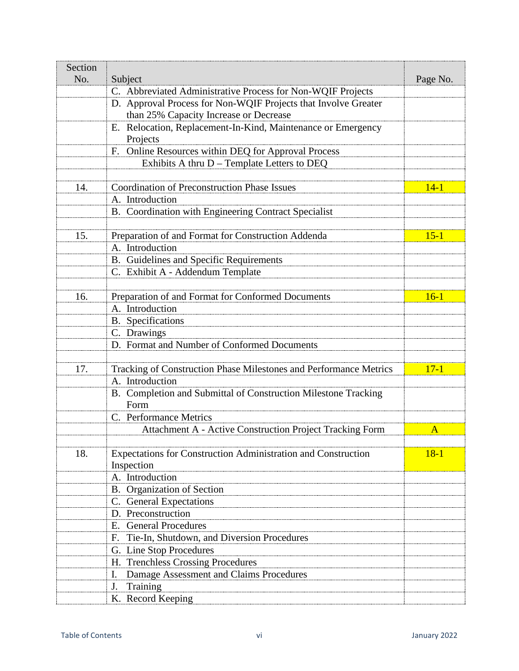| Section |                                                                          |          |
|---------|--------------------------------------------------------------------------|----------|
| No.     | Subject                                                                  | Page No. |
|         | C. Abbreviated Administrative Process for Non-WQIF Projects              |          |
|         | D. Approval Process for Non-WQIF Projects that Involve Greater           |          |
|         | than 25% Capacity Increase or Decrease                                   |          |
|         | E. Relocation, Replacement-In-Kind, Maintenance or Emergency<br>Projects |          |
|         | F. Online Resources within DEQ for Approval Process                      |          |
|         | Exhibits A thru D - Template Letters to DEQ                              |          |
|         |                                                                          |          |
| 14.     | Coordination of Preconstruction Phase Issues                             | $14 - 1$ |
|         | A. Introduction                                                          |          |
|         | B. Coordination with Engineering Contract Specialist                     |          |
|         |                                                                          |          |
| 15.     | Preparation of and Format for Construction Addenda                       | $15 - 1$ |
|         | A. Introduction                                                          |          |
|         | B. Guidelines and Specific Requirements                                  |          |
|         | C. Exhibit A - Addendum Template                                         |          |
|         |                                                                          |          |
| 16.     | Preparation of and Format for Conformed Documents                        | $16 - 1$ |
|         | A. Introduction                                                          |          |
|         | <b>B.</b> Specifications                                                 |          |
|         | C. Drawings                                                              |          |
|         | D. Format and Number of Conformed Documents                              |          |
|         |                                                                          |          |
| 17.     | Tracking of Construction Phase Milestones and Performance Metrics        | $17 - 1$ |
|         | A. Introduction                                                          |          |
|         | B. Completion and Submittal of Construction Milestone Tracking<br>Form   |          |
|         | C. Performance Metrics                                                   |          |
|         | <b>Attachment A - Active Construction Project Tracking Form</b>          | A        |
|         |                                                                          |          |
| 18.     | Expectations for Construction Administration and Construction            | $18 - 1$ |
|         | Inspection                                                               |          |
|         | A. Introduction                                                          |          |
|         | B. Organization of Section                                               |          |
|         | C. General Expectations                                                  |          |
|         | D. Preconstruction                                                       |          |
|         | E. General Procedures                                                    |          |
|         | Tie-In, Shutdown, and Diversion Procedures<br>F.                         |          |
|         | G. Line Stop Procedures                                                  |          |
|         | H. Trenchless Crossing Procedures                                        |          |
|         | Damage Assessment and Claims Procedures<br>I.                            |          |
|         | Training<br>J.                                                           |          |
|         | K. Record Keeping                                                        |          |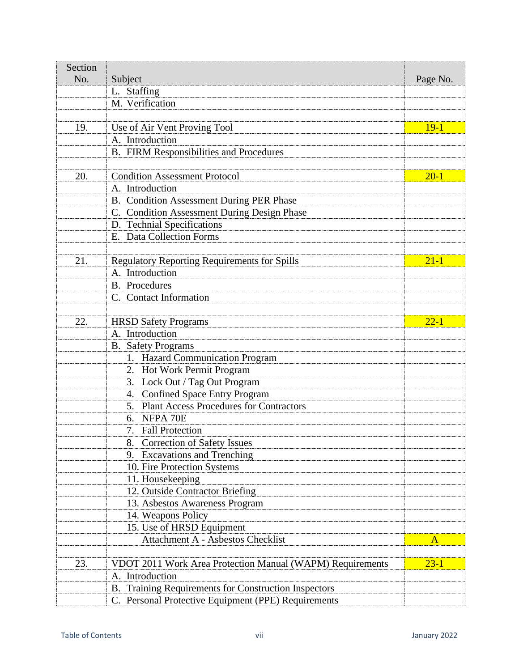| Section |                                                           |              |
|---------|-----------------------------------------------------------|--------------|
| No.     | Subject                                                   | Page No.     |
|         | L. Staffing                                               |              |
|         | M. Verification                                           |              |
|         |                                                           |              |
| 19.     | Use of Air Vent Proving Tool                              | $19-1$       |
|         | A. Introduction                                           |              |
|         | B. FIRM Responsibilities and Procedures                   |              |
|         |                                                           |              |
| 20.     | <b>Condition Assessment Protocol</b>                      | $20 - 1$     |
|         | A. Introduction                                           |              |
|         | <b>B.</b> Condition Assessment During PER Phase           |              |
|         | C. Condition Assessment During Design Phase               |              |
|         | D. Technial Specifications                                |              |
|         | E. Data Collection Forms                                  |              |
|         |                                                           |              |
| 21.     | <b>Regulatory Reporting Requirements for Spills</b>       | $21 - 1$     |
|         | A. Introduction                                           |              |
|         | <b>B.</b> Procedures                                      |              |
|         | C. Contact Information                                    |              |
|         |                                                           |              |
| 22.     | <b>HRSD Safety Programs</b>                               | $22 - 1$     |
|         | A. Introduction                                           |              |
|         | <b>B.</b> Safety Programs                                 |              |
|         | 1. Hazard Communication Program                           |              |
|         | 2. Hot Work Permit Program                                |              |
|         | 3. Lock Out / Tag Out Program                             |              |
|         | 4. Confined Space Entry Program                           |              |
|         | <b>Plant Access Procedures for Contractors</b>            |              |
|         | 6. NFPA 70E                                               |              |
|         | 7. Fall Protection                                        |              |
|         | 8. Correction of Safety Issues                            |              |
|         | 9. Excavations and Trenching                              |              |
|         | 10. Fire Protection Systems                               |              |
|         | 11. Housekeeping                                          |              |
|         | 12. Outside Contractor Briefing                           |              |
|         | 13. Asbestos Awareness Program                            |              |
|         | 14. Weapons Policy                                        |              |
|         | 15. Use of HRSD Equipment                                 |              |
|         | <b>Attachment A - Asbestos Checklist</b>                  | $\mathbf{A}$ |
|         |                                                           |              |
| 23.     | VDOT 2011 Work Area Protection Manual (WAPM) Requirements | $23 - 1$     |
|         | A. Introduction                                           |              |
|         | B. Training Requirements for Construction Inspectors      |              |
|         | C. Personal Protective Equipment (PPE) Requirements       |              |
|         |                                                           |              |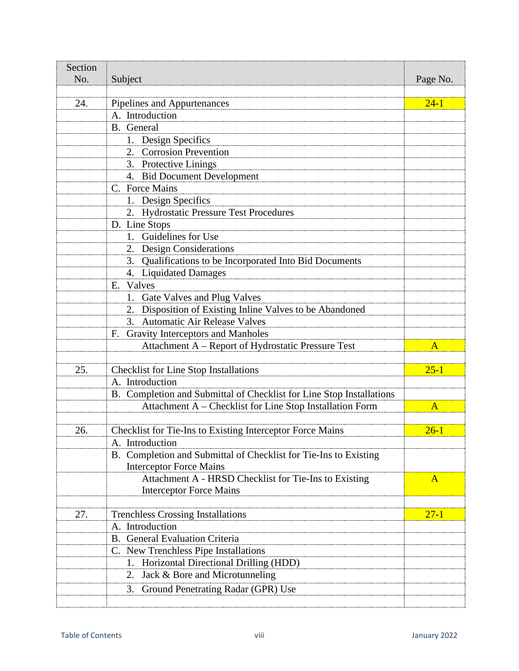| Section<br>No. | Subject                                                              | Page No.     |
|----------------|----------------------------------------------------------------------|--------------|
|                |                                                                      |              |
| 24.            | Pipelines and Appurtenances                                          | $24 - 1$     |
|                | A. Introduction                                                      |              |
|                | B. General                                                           |              |
|                | 1. Design Specifics                                                  |              |
|                | <b>Corrosion Prevention</b>                                          |              |
|                | 3. Protective Linings                                                |              |
|                | 4. Bid Document Development                                          |              |
|                | C. Force Mains                                                       |              |
|                | 1. Design Specifics                                                  |              |
|                | 2. Hydrostatic Pressure Test Procedures                              |              |
|                | D. Line Stops                                                        |              |
|                | 1. Guidelines for Use                                                |              |
|                | 2. Design Considerations                                             |              |
|                | 3. Qualifications to be Incorporated Into Bid Documents              |              |
|                | 4. Liquidated Damages                                                |              |
|                | E. Valves                                                            |              |
|                | 1. Gate Valves and Plug Valves                                       |              |
|                | 2. Disposition of Existing Inline Valves to be Abandoned             |              |
|                | 3. Automatic Air Release Valves                                      |              |
|                | F. Gravity Interceptors and Manholes                                 |              |
|                | Attachment A - Report of Hydrostatic Pressure Test                   | $\mathbf{A}$ |
| 25.            | <b>Checklist for Line Stop Installations</b>                         | $25 - 1$     |
|                | A. Introduction                                                      |              |
|                | B. Completion and Submittal of Checklist for Line Stop Installations |              |
|                | Attachment A – Checklist for Line Stop Installation Form             | $\mathbf{A}$ |
|                |                                                                      |              |
| 26.            | Checklist for Tie-Ins to Existing Interceptor Force Mains            | $26 - 1$     |
|                | A. Introduction                                                      |              |
|                | B. Completion and Submittal of Checklist for Tie-Ins to Existing     |              |
|                | <b>Interceptor Force Mains</b>                                       |              |
|                | Attachment A - HRSD Checklist for Tie-Ins to Existing                | $\mathbf{A}$ |
|                | <b>Interceptor Force Mains</b>                                       |              |
| 27.            | <b>Trenchless Crossing Installations</b>                             | $27 - 1$     |
|                | A. Introduction                                                      |              |
|                | <b>B.</b> General Evaluation Criteria                                |              |
|                | C. New Trenchless Pipe Installations                                 |              |
|                | 1. Horizontal Directional Drilling (HDD)                             |              |
|                | Jack & Bore and Microtunneling<br>2.                                 |              |
|                | Ground Penetrating Radar (GPR) Use<br>3.                             |              |
|                |                                                                      |              |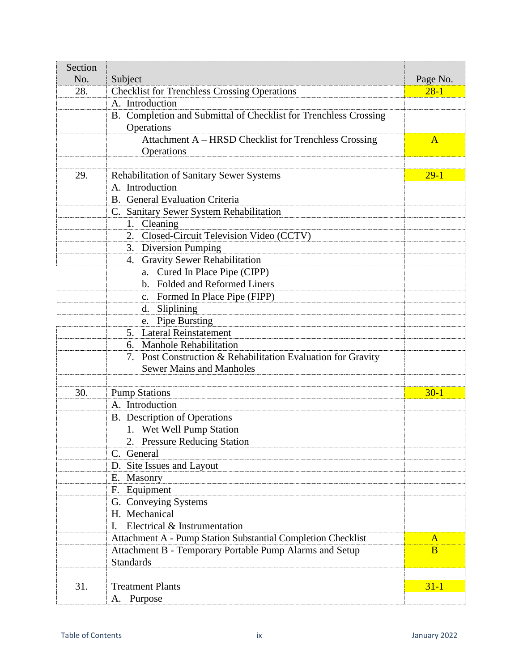| Section |                                                                     |              |
|---------|---------------------------------------------------------------------|--------------|
| No.     | Subject                                                             | Page No.     |
| 28.     | <b>Checklist for Trenchless Crossing Operations</b>                 | $28 - 1$     |
|         | A. Introduction                                                     |              |
|         | B. Completion and Submittal of Checklist for Trenchless Crossing    |              |
|         | Operations                                                          |              |
|         | Attachment A - HRSD Checklist for Trenchless Crossing<br>Operations | $\mathbf{A}$ |
|         |                                                                     |              |
| 29.     | Rehabilitation of Sanitary Sewer Systems                            | $29-1$       |
|         | A. Introduction                                                     |              |
|         | B. General Evaluation Criteria                                      |              |
|         | C. Sanitary Sewer System Rehabilitation                             |              |
|         | Cleaning<br>1.                                                      |              |
|         | Closed-Circuit Television Video (CCTV)<br>2.                        |              |
|         | 3. Diversion Pumping                                                |              |
|         | <b>Gravity Sewer Rehabilitation</b><br>4.                           |              |
|         | Cured In Place Pipe (CIPP)<br>a.                                    |              |
|         | <b>Folded and Reformed Liners</b><br>$\mathbf{b}$ .                 |              |
|         | Formed In Place Pipe (FIPP)<br>$C_{\bullet}$                        |              |
|         | d. Sliplining                                                       |              |
|         | e. Pipe Bursting                                                    |              |
|         | 5. Lateral Reinstatement                                            |              |
|         | 6. Manhole Rehabilitation                                           |              |
|         | Post Construction & Rehabilitation Evaluation for Gravity<br>7.     |              |
|         | <b>Sewer Mains and Manholes</b>                                     |              |
|         |                                                                     |              |
| 30.     | <b>Pump Stations</b>                                                | $30-1$       |
|         | A. Introduction                                                     |              |
|         | B. Description of Operations                                        |              |
|         | 1. Wet Well Pump Station                                            |              |
|         | 2. Pressure Reducing Station                                        |              |
|         | C. General                                                          |              |
|         | D. Site Issues and Layout                                           |              |
|         | E. Masonry                                                          |              |
|         | F. Equipment                                                        |              |
|         | G. Conveying Systems                                                |              |
|         | H. Mechanical                                                       |              |
|         | Electrical & Instrumentation<br>$\mathbf{I}$ .                      |              |
|         | Attachment A - Pump Station Substantial Completion Checklist        | A            |
|         | Attachment B - Temporary Portable Pump Alarms and Setup             | B            |
|         | <b>Standards</b>                                                    |              |
|         |                                                                     |              |
| 31.     | <b>Treatment Plants</b>                                             | $31 - 1$     |
|         | A. Purpose                                                          |              |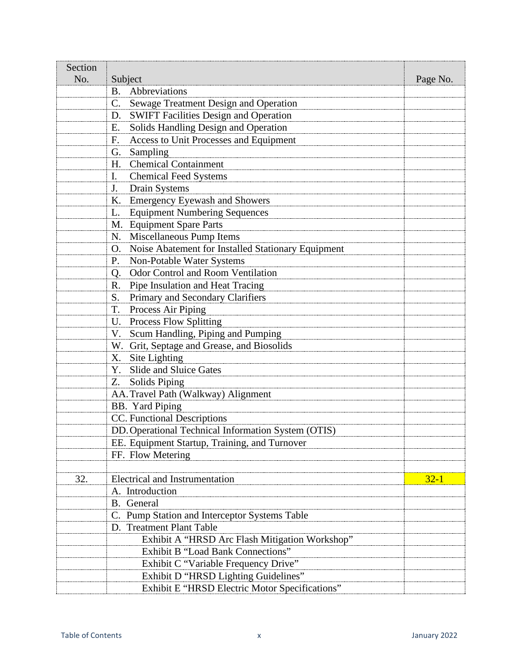| Section |                                                                      |          |
|---------|----------------------------------------------------------------------|----------|
| No.     | Subject                                                              | Page No. |
|         | B. Abbreviations                                                     |          |
|         | Sewage Treatment Design and Operation<br>C.                          |          |
|         | <b>SWIFT Facilities Design and Operation</b><br>D.                   |          |
|         | Solids Handling Design and Operation<br>Е.                           |          |
|         | <b>Access to Unit Processes and Equipment</b><br>F.                  |          |
|         | Sampling<br>G.                                                       |          |
|         | <b>Chemical Containment</b><br>H.                                    |          |
|         | <b>Chemical Feed Systems</b><br>$\mathbf{I}$ .                       |          |
|         | Drain Systems<br>J.                                                  |          |
|         | K. Emergency Eyewash and Showers                                     |          |
|         | <b>Equipment Numbering Sequences</b><br>L.                           |          |
|         | M. Equipment Spare Parts                                             |          |
|         | N. Miscellaneous Pump Items                                          |          |
|         | Noise Abatement for Installed Stationary Equipment<br>O <sub>1</sub> |          |
|         | Non-Potable Water Systems<br>Ρ.                                      |          |
|         | Q. Odor Control and Room Ventilation                                 |          |
|         | R. Pipe Insulation and Heat Tracing                                  |          |
|         | S. Primary and Secondary Clarifiers                                  |          |
|         | T.<br>Process Air Piping                                             |          |
|         | U. Process Flow Splitting                                            |          |
|         | Scum Handling, Piping and Pumping<br>V.                              |          |
|         | W. Grit, Septage and Grease, and Biosolids                           |          |
|         | Site Lighting<br>X.                                                  |          |
|         | Slide and Sluice Gates<br>Y.                                         |          |
|         | <b>Solids Piping</b><br>Z.                                           |          |
|         | AA. Travel Path (Walkway) Alignment                                  |          |
|         | <b>BB.</b> Yard Piping                                               |          |
|         | CC. Functional Descriptions                                          |          |
|         | DD. Operational Technical Information System (OTIS)                  |          |
|         | EE. Equipment Startup, Training, and Turnover                        |          |
|         | FF. Flow Metering                                                    |          |
|         |                                                                      |          |
| 32.     | <b>Electrical and Instrumentation</b>                                | $32 - 1$ |
|         | A. Introduction                                                      |          |
|         | B. General                                                           |          |
|         | C. Pump Station and Interceptor Systems Table                        |          |
|         | D. Treatment Plant Table                                             |          |
|         | Exhibit A "HRSD Arc Flash Mitigation Workshop"                       |          |
|         | Exhibit B "Load Bank Connections"                                    |          |
|         | Exhibit C "Variable Frequency Drive"                                 |          |
|         | Exhibit D "HRSD Lighting Guidelines"                                 |          |
|         | Exhibit E "HRSD Electric Motor Specifications"                       |          |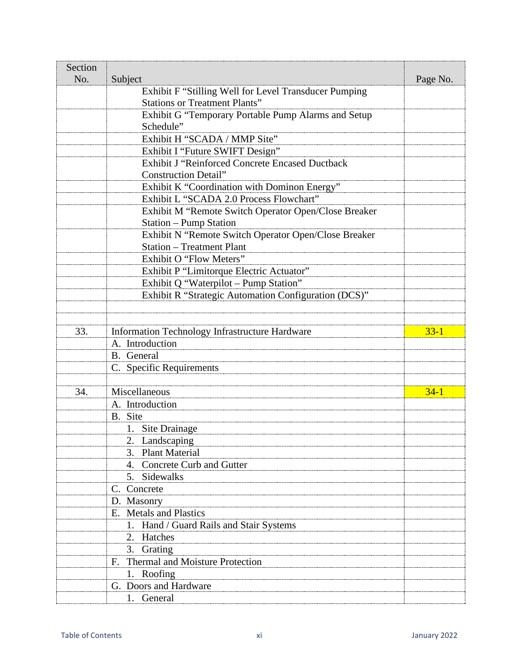| Section<br>No. | Subject                                                           | Page No. |
|----------------|-------------------------------------------------------------------|----------|
|                | Exhibit F "Stilling Well for Level Transducer Pumping             |          |
|                | <b>Stations or Treatment Plants"</b>                              |          |
|                | Exhibit G "Temporary Portable Pump Alarms and Setup               |          |
|                | Schedule"                                                         |          |
|                | Exhibit H "SCADA / MMP Site"                                      |          |
|                | Exhibit I "Future SWIFT Design"                                   |          |
|                | <b>Exhibit J "Reinforced Concrete Encased Ductback</b>            |          |
|                | <b>Construction Detail"</b>                                       |          |
|                | Exhibit K "Coordination with Dominon Energy"                      |          |
|                | Exhibit L "SCADA 2.0 Process Flowchart"                           |          |
|                | Exhibit M "Remote Switch Operator Open/Close Breaker              |          |
|                | <b>Station - Pump Station</b>                                     |          |
|                | Exhibit N "Remote Switch Operator Open/Close Breaker              |          |
|                | <b>Station - Treatment Plant</b>                                  |          |
|                | Exhibit O "Flow Meters"                                           |          |
|                | Exhibit P "Limitorque Electric Actuator"                          |          |
|                | Exhibit Q "Waterpilot - Pump Station"                             |          |
|                | Exhibit R "Strategic Automation Configuration (DCS)"              |          |
|                |                                                                   |          |
|                |                                                                   |          |
| 33.            | Information Technology Infrastructure Hardware<br>A. Introduction | $33 - 1$ |
|                | B. General                                                        |          |
|                | C. Specific Requirements                                          |          |
|                |                                                                   |          |
| 34.            | Miscellaneous                                                     | $34-1$   |
|                | A. Introduction                                                   |          |
|                | B. Site                                                           |          |
|                | 1. Site Drainage                                                  |          |
|                | 2. Landscaping                                                    |          |
|                | 3. Plant Material                                                 |          |
|                | 4. Concrete Curb and Gutter                                       |          |
|                | 5. Sidewalks                                                      |          |
|                | C. Concrete                                                       |          |
|                | D. Masonry                                                        |          |
|                | E. Metals and Plastics                                            |          |
|                | 1. Hand / Guard Rails and Stair Systems                           |          |
|                | 2. Hatches                                                        |          |
|                | Grating<br>3.                                                     |          |
|                | Thermal and Moisture Protection<br>F.                             |          |
|                | 1. Roofing                                                        |          |
|                | G. Doors and Hardware                                             |          |
|                | 1. General                                                        |          |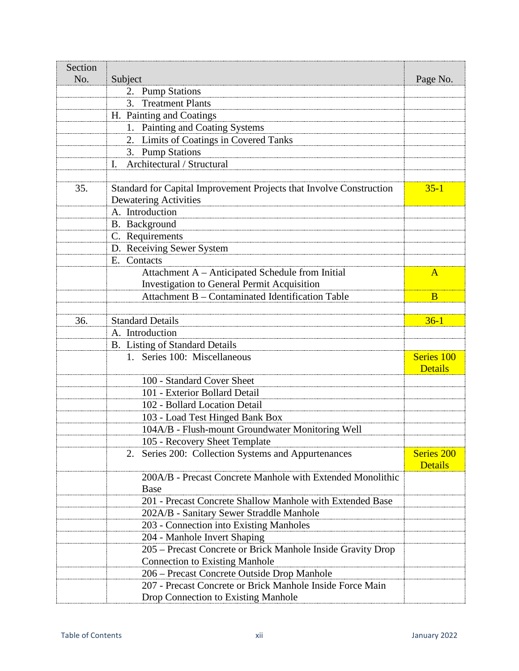| Section |                                                                     |                              |
|---------|---------------------------------------------------------------------|------------------------------|
| No.     | Subject                                                             | Page No.                     |
|         | 2. Pump Stations                                                    |                              |
|         | <b>Treatment Plants</b><br>3.                                       |                              |
|         | H. Painting and Coatings                                            |                              |
|         | 1. Painting and Coating Systems                                     |                              |
|         | 2. Limits of Coatings in Covered Tanks                              |                              |
|         | 3. Pump Stations                                                    |                              |
|         | Architectural / Structural<br>I.                                    |                              |
|         |                                                                     |                              |
| 35.     | Standard for Capital Improvement Projects that Involve Construction | $35 - 1$                     |
|         | <b>Dewatering Activities</b>                                        |                              |
|         | A. Introduction                                                     |                              |
|         | B. Background                                                       |                              |
|         | C. Requirements                                                     |                              |
|         | D. Receiving Sewer System                                           |                              |
|         | E. Contacts                                                         |                              |
|         | Attachment A - Anticipated Schedule from Initial                    | $\mathbf{A}$                 |
|         | Investigation to General Permit Acquisition                         |                              |
|         | Attachment B - Contaminated Identification Table                    | B                            |
|         |                                                                     |                              |
| 36.     | <b>Standard Details</b>                                             | $36-1$                       |
|         | A. Introduction                                                     |                              |
|         | B. Listing of Standard Details                                      |                              |
|         | 1. Series 100: Miscellaneous                                        | Series 100<br><b>Details</b> |
|         | 100 - Standard Cover Sheet                                          |                              |
|         | 101 - Exterior Bollard Detail                                       |                              |
|         | 102 - Bollard Location Detail                                       |                              |
|         | 103 - Load Test Hinged Bank Box                                     |                              |
|         | 104A/B - Flush-mount Groundwater Monitoring Well                    |                              |
|         | 105 - Recovery Sheet Template                                       |                              |
|         | Series 200: Collection Systems and Appurtenances<br>2.              | <b>Series 200</b>            |
|         |                                                                     | <b>Details</b>               |
|         | 200A/B - Precast Concrete Manhole with Extended Monolithic          |                              |
|         | <b>Base</b>                                                         |                              |
|         | 201 - Precast Concrete Shallow Manhole with Extended Base           |                              |
|         | 202A/B - Sanitary Sewer Straddle Manhole                            |                              |
|         | 203 - Connection into Existing Manholes                             |                              |
|         | 204 - Manhole Invert Shaping                                        |                              |
|         | 205 – Precast Concrete or Brick Manhole Inside Gravity Drop         |                              |
|         | <b>Connection to Existing Manhole</b>                               |                              |
|         | 206 - Precast Concrete Outside Drop Manhole                         |                              |
|         | 207 - Precast Concrete or Brick Manhole Inside Force Main           |                              |
|         | Drop Connection to Existing Manhole                                 |                              |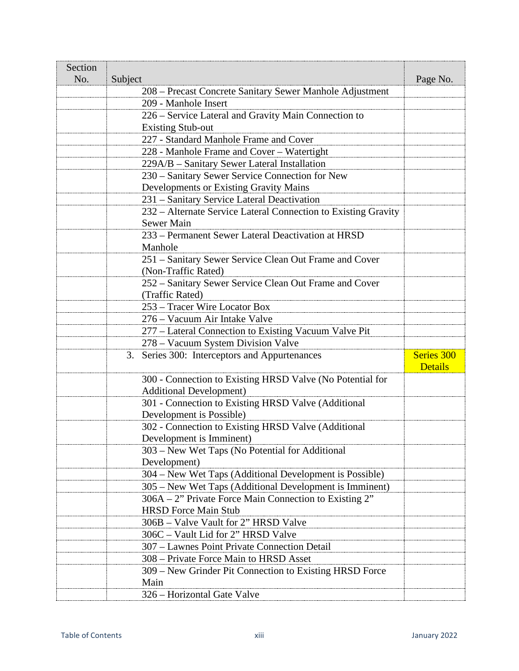| Section<br>No. | Subject                                                                                     | Page No.       |
|----------------|---------------------------------------------------------------------------------------------|----------------|
|                | 208 – Precast Concrete Sanitary Sewer Manhole Adjustment                                    |                |
|                | 209 - Manhole Insert                                                                        |                |
|                | 226 – Service Lateral and Gravity Main Connection to                                        |                |
|                | <b>Existing Stub-out</b>                                                                    |                |
|                | 227 - Standard Manhole Frame and Cover                                                      |                |
|                | 228 - Manhole Frame and Cover – Watertight                                                  |                |
|                | 229A/B – Sanitary Sewer Lateral Installation                                                |                |
|                | 230 – Sanitary Sewer Service Connection for New                                             |                |
|                | <b>Developments or Existing Gravity Mains</b>                                               |                |
|                | 231 – Sanitary Service Lateral Deactivation                                                 |                |
|                | 232 - Alternate Service Lateral Connection to Existing Gravity                              |                |
|                | Sewer Main                                                                                  |                |
|                | 233 – Permanent Sewer Lateral Deactivation at HRSD                                          |                |
|                | Manhole                                                                                     |                |
|                | 251 – Sanitary Sewer Service Clean Out Frame and Cover                                      |                |
|                | (Non-Traffic Rated)                                                                         |                |
|                | 252 – Sanitary Sewer Service Clean Out Frame and Cover                                      |                |
|                | (Traffic Rated)                                                                             |                |
|                | 253 – Tracer Wire Locator Box                                                               |                |
|                | 276 – Vacuum Air Intake Valve                                                               |                |
|                | 277 – Lateral Connection to Existing Vacuum Valve Pit                                       |                |
|                | 278 - Vacuum System Division Valve                                                          |                |
|                | 3. Series 300: Interceptors and Appurtenances                                               | Series 300     |
|                |                                                                                             | <b>Details</b> |
|                | 300 - Connection to Existing HRSD Valve (No Potential for<br><b>Additional Development)</b> |                |
|                |                                                                                             |                |
|                | 301 - Connection to Existing HRSD Valve (Additional<br>Development is Possible)             |                |
|                | 302 - Connection to Existing HRSD Valve (Additional                                         |                |
|                | Development is Imminent)                                                                    |                |
|                | 303 - New Wet Taps (No Potential for Additional                                             |                |
|                | Development)                                                                                |                |
|                | 304 – New Wet Taps (Additional Development is Possible)                                     |                |
|                | 305 – New Wet Taps (Additional Development is Imminent)                                     |                |
|                | 306A – 2" Private Force Main Connection to Existing 2"                                      |                |
|                | <b>HRSD</b> Force Main Stub                                                                 |                |
|                | 306B – Valve Vault for 2" HRSD Valve                                                        |                |
|                | 306C – Vault Lid for 2" HRSD Valve                                                          |                |
|                | 307 – Lawnes Point Private Connection Detail                                                |                |
|                | 308 – Private Force Main to HRSD Asset                                                      |                |
|                | 309 – New Grinder Pit Connection to Existing HRSD Force                                     |                |
|                | Main                                                                                        |                |
|                | 326 – Horizontal Gate Valve                                                                 |                |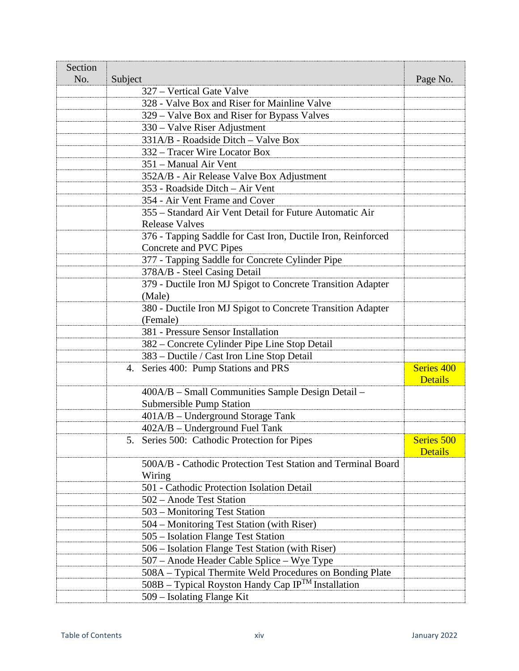| Section<br>No. | Subject                                                        | Page No.       |
|----------------|----------------------------------------------------------------|----------------|
|                | 327 – Vertical Gate Valve                                      |                |
|                | 328 - Valve Box and Riser for Mainline Valve                   |                |
|                | 329 - Valve Box and Riser for Bypass Valves                    |                |
|                | 330 – Valve Riser Adjustment                                   |                |
|                | 331A/B - Roadside Ditch - Valve Box                            |                |
|                | 332 – Tracer Wire Locator Box                                  |                |
|                | 351 – Manual Air Vent                                          |                |
|                | 352A/B - Air Release Valve Box Adjustment                      |                |
|                | 353 - Roadside Ditch - Air Vent                                |                |
|                | 354 - Air Vent Frame and Cover                                 |                |
|                | 355 – Standard Air Vent Detail for Future Automatic Air        |                |
|                | <b>Release Valves</b>                                          |                |
|                | 376 - Tapping Saddle for Cast Iron, Ductile Iron, Reinforced   |                |
|                | Concrete and PVC Pipes                                         |                |
|                | 377 - Tapping Saddle for Concrete Cylinder Pipe                |                |
|                | 378A/B - Steel Casing Detail                                   |                |
|                | 379 - Ductile Iron MJ Spigot to Concrete Transition Adapter    |                |
|                | (Male)                                                         |                |
|                | 380 - Ductile Iron MJ Spigot to Concrete Transition Adapter    |                |
|                | (Female)                                                       |                |
|                | 381 - Pressure Sensor Installation                             |                |
|                | 382 – Concrete Cylinder Pipe Line Stop Detail                  |                |
|                | 383 - Ductile / Cast Iron Line Stop Detail                     |                |
|                | 4. Series 400: Pump Stations and PRS                           | Series 400     |
|                |                                                                | <b>Details</b> |
|                | 400A/B – Small Communities Sample Design Detail –              |                |
|                | <b>Submersible Pump Station</b>                                |                |
|                | 401A/B - Underground Storage Tank                              |                |
|                | 402A/B – Underground Fuel Tank                                 |                |
|                | Series 500: Cathodic Protection for Pipes                      | Series 500     |
|                |                                                                | <b>Details</b> |
|                | 500A/B - Cathodic Protection Test Station and Terminal Board   |                |
|                | Wiring                                                         |                |
|                | 501 - Cathodic Protection Isolation Detail                     |                |
|                | 502 – Anode Test Station                                       |                |
|                | 503 – Monitoring Test Station                                  |                |
|                | 504 – Monitoring Test Station (with Riser)                     |                |
|                | 505 – Isolation Flange Test Station                            |                |
|                | 506 – Isolation Flange Test Station (with Riser)               |                |
|                | 507 – Anode Header Cable Splice – Wye Type                     |                |
|                | 508A - Typical Thermite Weld Procedures on Bonding Plate       |                |
|                | 508B – Typical Royston Handy Cap IP <sup>TM</sup> Installation |                |
|                | 509 – Isolating Flange Kit                                     |                |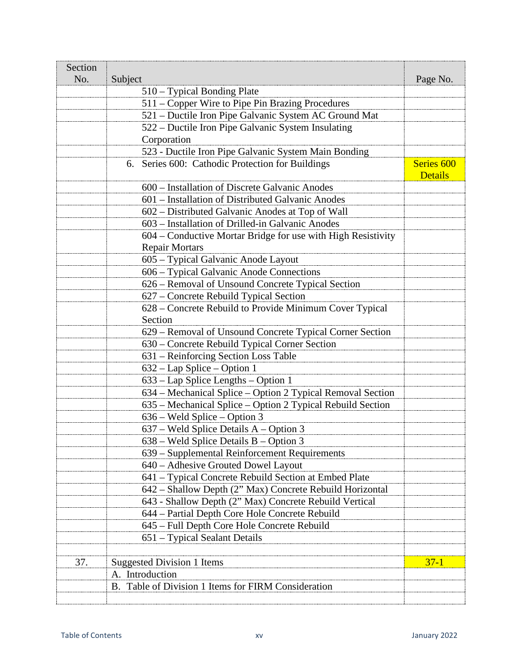| Section |                                                              |                                         |
|---------|--------------------------------------------------------------|-----------------------------------------|
| No.     | Subject                                                      | Page No.                                |
|         | 510 – Typical Bonding Plate                                  |                                         |
|         | 511 – Copper Wire to Pipe Pin Brazing Procedures             |                                         |
|         | 521 – Ductile Iron Pipe Galvanic System AC Ground Mat        |                                         |
|         | 522 – Ductile Iron Pipe Galvanic System Insulating           |                                         |
|         | Corporation                                                  |                                         |
|         | 523 - Ductile Iron Pipe Galvanic System Main Bonding         |                                         |
|         | 6. Series 600: Cathodic Protection for Buildings             | Series <sub>600</sub><br><b>Details</b> |
|         | 600 – Installation of Discrete Galvanic Anodes               |                                         |
|         | 601 – Installation of Distributed Galvanic Anodes            |                                         |
|         | 602 – Distributed Galvanic Anodes at Top of Wall             |                                         |
|         | 603 – Installation of Drilled-in Galvanic Anodes             |                                         |
|         | 604 – Conductive Mortar Bridge for use with High Resistivity |                                         |
|         | <b>Repair Mortars</b>                                        |                                         |
|         | 605 – Typical Galvanic Anode Layout                          |                                         |
|         | 606 - Typical Galvanic Anode Connections                     |                                         |
|         | 626 – Removal of Unsound Concrete Typical Section            |                                         |
|         | 627 – Concrete Rebuild Typical Section                       |                                         |
|         | 628 – Concrete Rebuild to Provide Minimum Cover Typical      |                                         |
|         | Section                                                      |                                         |
|         | 629 – Removal of Unsound Concrete Typical Corner Section     |                                         |
|         | 630 - Concrete Rebuild Typical Corner Section                |                                         |
|         | 631 – Reinforcing Section Loss Table                         |                                         |
|         | $632 - Lap Splice - Option 1$                                |                                         |
|         | 633 – Lap Splice Lengths – Option 1                          |                                         |
|         | 634 – Mechanical Splice – Option 2 Typical Removal Section   |                                         |
|         | 635 – Mechanical Splice – Option 2 Typical Rebuild Section   |                                         |
|         | 636 – Weld Splice – Option 3                                 |                                         |
|         | $637$ – Weld Splice Details A – Option 3                     |                                         |
|         | 638 - Weld Splice Details B - Option 3                       |                                         |
|         | 639 – Supplemental Reinforcement Requirements                |                                         |
|         | 640 – Adhesive Grouted Dowel Layout                          |                                         |
|         | 641 – Typical Concrete Rebuild Section at Embed Plate        |                                         |
|         | 642 - Shallow Depth (2" Max) Concrete Rebuild Horizontal     |                                         |
|         | 643 - Shallow Depth (2" Max) Concrete Rebuild Vertical       |                                         |
|         | 644 – Partial Depth Core Hole Concrete Rebuild               |                                         |
|         | 645 - Full Depth Core Hole Concrete Rebuild                  |                                         |
|         | 651 - Typical Sealant Details                                |                                         |
|         |                                                              |                                         |
| 37.     | <b>Suggested Division 1 Items</b>                            | $37 - 1$                                |
|         | A. Introduction                                              |                                         |
|         | B. Table of Division 1 Items for FIRM Consideration          |                                         |
|         |                                                              |                                         |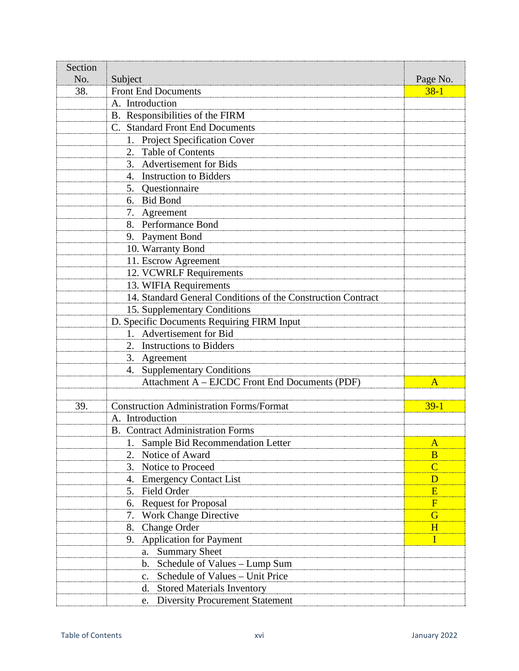| Section |                                                              |                         |
|---------|--------------------------------------------------------------|-------------------------|
| No.     | Subject                                                      | Page No.                |
| 38.     | <b>Front End Documents</b>                                   | $38-1$                  |
|         | A. Introduction                                              |                         |
|         | B. Responsibilities of the FIRM                              |                         |
|         | C. Standard Front End Documents                              |                         |
|         | 1. Project Specification Cover                               |                         |
|         | 2. Table of Contents                                         |                         |
|         | 3. Advertisement for Bids                                    |                         |
|         | 4. Instruction to Bidders                                    |                         |
|         | 5. Questionnaire                                             |                         |
|         | 6. Bid Bond                                                  |                         |
|         | 7. Agreement                                                 |                         |
|         | 8. Performance Bond                                          |                         |
|         | 9. Payment Bond                                              |                         |
|         | 10. Warranty Bond                                            |                         |
|         | 11. Escrow Agreement                                         |                         |
|         | 12. VCWRLF Requirements                                      |                         |
|         | 13. WIFIA Requirements                                       |                         |
|         | 14. Standard General Conditions of the Construction Contract |                         |
|         | 15. Supplementary Conditions                                 |                         |
|         | D. Specific Documents Requiring FIRM Input                   |                         |
|         | 1. Advertisement for Bid                                     |                         |
|         | 2. Instructions to Bidders                                   |                         |
|         | 3. Agreement                                                 |                         |
|         | <b>Supplementary Conditions</b><br>4.                        |                         |
|         | Attachment A - EJCDC Front End Documents (PDF)               | A                       |
|         |                                                              |                         |
| 39.     | <b>Construction Administration Forms/Format</b>              | $39-1$                  |
|         | A. Introduction                                              |                         |
|         | <b>B.</b> Contract Administration Forms                      |                         |
|         | 1. Sample Bid Recommendation Letter                          | $\mathbf{A}$            |
|         | Notice of Award<br>2.                                        | $\bf{B}$                |
|         | Notice to Proceed<br>3.                                      | $\overline{C}$          |
|         | <b>Emergency Contact List</b><br>4.                          | D                       |
|         | 5. Field Order                                               | E                       |
|         | <b>Request for Proposal</b><br>6.                            | $\overline{\mathrm{F}}$ |
|         | <b>Work Change Directive</b><br>7.                           | G                       |
|         | Change Order<br>8.                                           | H                       |
|         | <b>Application for Payment</b><br>9.                         | П                       |
|         | <b>Summary Sheet</b><br>a.                                   |                         |
|         | Schedule of Values - Lump Sum<br>b.                          |                         |
|         | Schedule of Values – Unit Price<br>$\mathbf{c}$ .            |                         |
|         | <b>Stored Materials Inventory</b><br>d.                      |                         |
|         | <b>Diversity Procurement Statement</b><br>e.                 |                         |